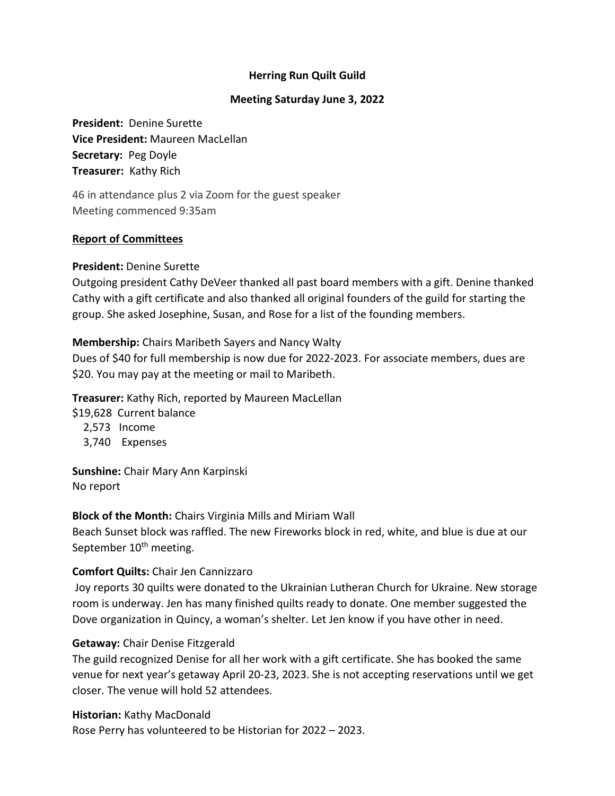# **Herring Run Quilt Guild**

## **Meeting Saturday June 3, 2022**

**President:** Denine Surette **Vice President:** Maureen MacLellan **Secretary:** Peg Doyle **Treasurer:** Kathy Rich

46 in attendance plus 2 via Zoom for the guest speaker Meeting commenced 9:35am

## **Report of Committees**

#### **President:** Denine Surette

Outgoing president Cathy DeVeer thanked all past board members with a gift. Denine thanked Cathy with a gift certificate and also thanked all original founders of the guild for starting the group. She asked Josephine, Susan, and Rose for a list of the founding members.

## **Membership:** Chairs Maribeth Sayers and Nancy Walty

Dues of \$40 for full membership is now due for 2022-2023. For associate members, dues are \$20. You may pay at the meeting or mail to Maribeth.

**Treasurer:** Kathy Rich, reported by Maureen MacLellan

\$19,628 Current balance

2,573 Income

3,740 Expenses

**Sunshine:** Chair Mary Ann Karpinski No report

**Block of the Month:** Chairs Virginia Mills and Miriam Wall

Beach Sunset block was raffled. The new Fireworks block in red, white, and blue is due at our September 10<sup>th</sup> meeting.

# **Comfort Quilts:** Chair Jen Cannizzaro

Joy reports 30 quilts were donated to the Ukrainian Lutheran Church for Ukraine. New storage room is underway. Jen has many finished quilts ready to donate. One member suggested the Dove organization in Quincy, a woman's shelter. Let Jen know if you have other in need.

# **Getaway:** Chair Denise Fitzgerald

The guild recognized Denise for all her work with a gift certificate. She has booked the same venue for next year's getaway April 20-23, 2023. She is not accepting reservations until we get closer. The venue will hold 52 attendees.

**Historian:** Kathy MacDonald Rose Perry has volunteered to be Historian for 2022 – 2023.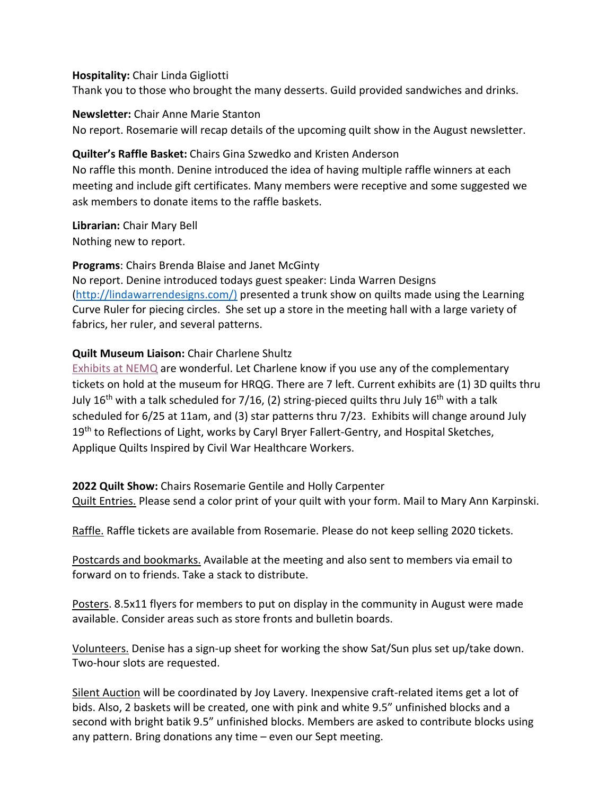### **Hospitality:** Chair Linda Gigliotti

Thank you to those who brought the many desserts. Guild provided sandwiches and drinks.

#### **Newsletter:** Chair Anne Marie Stanton

No report. Rosemarie will recap details of the upcoming quilt show in the August newsletter.

## **Quilter's Raffle Basket:** Chairs Gina Szwedko and Kristen Anderson

No raffle this month. Denine introduced the idea of having multiple raffle winners at each meeting and include gift certificates. Many members were receptive and some suggested we ask members to donate items to the raffle baskets.

**Librarian:** Chair Mary Bell Nothing new to report.

**Programs**: Chairs Brenda Blaise and Janet McGinty

No report. Denine introduced todays guest speaker: Linda Warren Designs [\(http://lindawarrendesigns.com/\)](http://lindawarrendesigns.com/)i) presented a trunk show on quilts made using the Learning Curve Ruler for piecing circles. She set up a store in the meeting hall with a large variety of fabrics, her ruler, and several patterns.

# **Quilt Museum Liaison:** Chair Charlene Shultz

[Exhibits at NEMQ](https://www.neqm.org/on-view-index) are wonderful. Let Charlene know if you use any of the complementary tickets on hold at the museum for HRQG. There are 7 left. Current exhibits are (1) 3D quilts thru July 16<sup>th</sup> with a talk scheduled for 7/16, (2) string-pieced quilts thru July 16<sup>th</sup> with a talk scheduled for 6/25 at 11am, and (3) star patterns thru 7/23. Exhibits will change around July 19<sup>th</sup> to Reflections of Light, works by Caryl Bryer Fallert-Gentry, and Hospital Sketches, Applique Quilts Inspired by Civil War Healthcare Workers.

**2022 Quilt Show:** Chairs Rosemarie Gentile and Holly Carpenter Quilt Entries. Please send a color print of your quilt with your form. Mail to Mary Ann Karpinski.

Raffle. Raffle tickets are available from Rosemarie. Please do not keep selling 2020 tickets.

Postcards and bookmarks. Available at the meeting and also sent to members via email to forward on to friends. Take a stack to distribute.

Posters. 8.5x11 flyers for members to put on display in the community in August were made available. Consider areas such as store fronts and bulletin boards.

Volunteers. Denise has a sign-up sheet for working the show Sat/Sun plus set up/take down. Two-hour slots are requested.

Silent Auction will be coordinated by Joy Lavery. Inexpensive craft-related items get a lot of bids. Also, 2 baskets will be created, one with pink and white 9.5" unfinished blocks and a second with bright batik 9.5" unfinished blocks. Members are asked to contribute blocks using any pattern. Bring donations any time – even our Sept meeting.